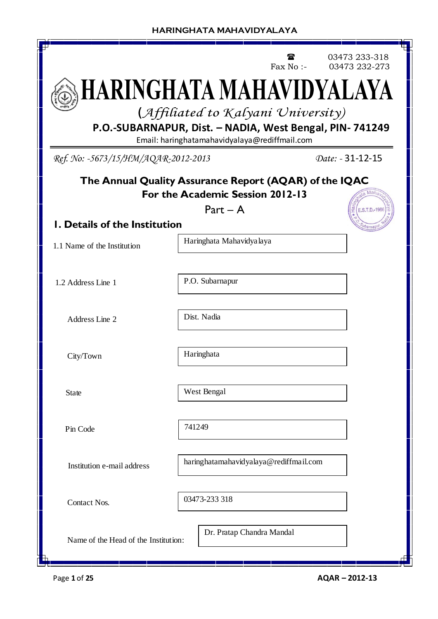|                                                        |                                                                                                          | Fax No:- | 03473 233-318<br>03473 232-273 |  |  |  |
|--------------------------------------------------------|----------------------------------------------------------------------------------------------------------|----------|--------------------------------|--|--|--|
|                                                        | HARINGHATA MAHAVIDYALAYA<br>(Affiliated to Kalyani University)                                           |          |                                |  |  |  |
|                                                        | P.O.-SUBARNAPUR, Dist. - NADIA, West Bengal, PIN-741249<br>Email: haringhatamahavidyalaya@rediffmail.com |          |                                |  |  |  |
| Ref. No: -5673/15/HM/AQAR-2012-2013                    |                                                                                                          |          | Date: - 31-12-15               |  |  |  |
| The Annual Quality Assurance Report (AQAR) of the IQAC | For the Academic Session 2012-13                                                                         |          |                                |  |  |  |
| <b>I. Details of the Institution</b>                   | $Part - A$                                                                                               |          | E.S.T.D.-1986<br>barnap        |  |  |  |
| 1.1 Name of the Institution                            | Haringhata Mahavidya laya                                                                                |          |                                |  |  |  |
| 1.2 Address Line 1                                     | P.O. Subarnapur                                                                                          |          |                                |  |  |  |
| Address Line 2                                         | Dist. Nadia                                                                                              |          |                                |  |  |  |
| City/Town                                              | Haringhata                                                                                               |          |                                |  |  |  |
| <b>State</b>                                           | West Bengal                                                                                              |          |                                |  |  |  |
| Pin Code                                               | 741249                                                                                                   |          |                                |  |  |  |
| Institution e-mail address                             | haringhatamahavidyalaya@rediffmail.com                                                                   |          |                                |  |  |  |
| Contact Nos.                                           | 03473-233 318                                                                                            |          |                                |  |  |  |
| Name of the Head of the Institution:                   | Dr. Pratap Chandra Mandal                                                                                |          |                                |  |  |  |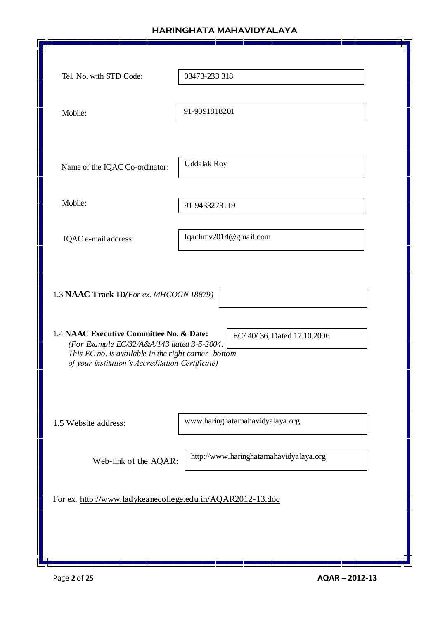| Tel. No. with STD Code:                                                                                                                                                                                                                                                    | 03473-233 318                   |  |  |  |
|----------------------------------------------------------------------------------------------------------------------------------------------------------------------------------------------------------------------------------------------------------------------------|---------------------------------|--|--|--|
| Mobile:                                                                                                                                                                                                                                                                    | 91-9091818201                   |  |  |  |
| Name of the IQAC Co-ordinator:                                                                                                                                                                                                                                             | <b>Uddalak Roy</b>              |  |  |  |
| Mobile:                                                                                                                                                                                                                                                                    | 91-9433273119                   |  |  |  |
| IQAC e-mail address:                                                                                                                                                                                                                                                       | Iqachmv2014@gmail.com           |  |  |  |
| 1.3 NAAC Track ID(For ex. MHCOGN 18879)<br>1.4 NAAC Executive Committee No. & Date:<br>EC/40/36, Dated 17.10.2006<br>(For Example EC/32/A&A/143 dated 3-5-2004.<br>This EC no. is available in the right corner-bottom<br>of your institution's Accreditation Certificate) |                                 |  |  |  |
| 1.5 Website address:                                                                                                                                                                                                                                                       | www.haringhatamahavidyalaya.org |  |  |  |
| http://www.haringhatamahavidyalaya.org<br>Web-link of the AQAR:                                                                                                                                                                                                            |                                 |  |  |  |
| For ex. http://www.ladykeanecollege.edu.in/AQAR2012-13.doc                                                                                                                                                                                                                 |                                 |  |  |  |
|                                                                                                                                                                                                                                                                            |                                 |  |  |  |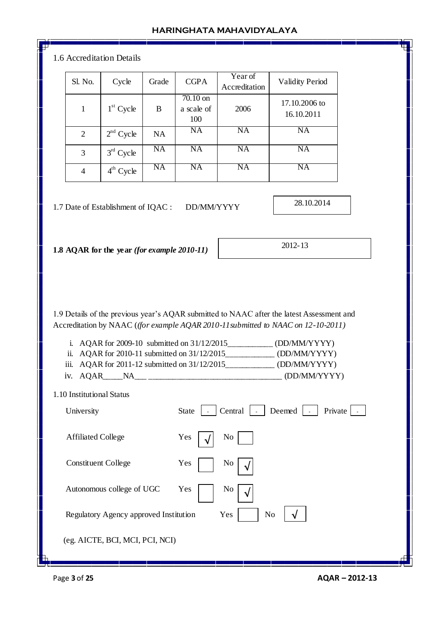| 1.6 Accreditation Details |  |
|---------------------------|--|
|---------------------------|--|

| Sl. No. | Cycle       | Grade     | <b>CGPA</b>                   | Year of<br>Accreditation | <b>Validity Period</b>      |
|---------|-------------|-----------|-------------------------------|--------------------------|-----------------------------|
| 1       | $1st$ Cycle | B         | 70.10 on<br>a scale of<br>100 | 2006                     | 17.10.2006 to<br>16.10.2011 |
| 2       | $2nd$ Cycle | <b>NA</b> | <b>NA</b>                     | NA                       | NA                          |
| 3       | $3rd$ Cycle | <b>NA</b> | <b>NA</b>                     | <b>NA</b>                | <b>NA</b>                   |
| 4       | $4th$ Cycle | NA        | NA                            | NA                       | NA                          |

1.7 Date of Establishment of IQAC : DD/MM/YYYY

28.10.2014

**1.8 AQAR for the year** *(for example 2010-11)*

2012-13

1.9 Details of the previous year's AQAR submitted to NAAC after the latest Assessment and Accreditation by NAAC (*(for example AQAR 2010-11submitted to NAAC on 12-10-2011)*

| i.<br>ii.<br>iii.                      | AQAR for 2009-10 submitted on 31/12/2015_____________ (DD/MM/YYYY)<br>AQAR for 2010-11 submitted on 31/12/2015_______________ (DD/MM/YYYY)<br>AQAR for 2011-12 submitted on 31/12/2015_____________ (DD/MM/YYYY) |
|----------------------------------------|------------------------------------------------------------------------------------------------------------------------------------------------------------------------------------------------------------------|
| 1.10 Institutional Status              |                                                                                                                                                                                                                  |
| University                             | Central $\vert \cdot \vert$ Deemed $\vert \cdot \vert$<br>State<br>Private                                                                                                                                       |
| <b>Affiliated College</b>              | Yes<br>No                                                                                                                                                                                                        |
| <b>Constituent College</b>             | Yes<br>N <sub>0</sub>                                                                                                                                                                                            |
| Autonomous college of UGC              | Yes<br>No                                                                                                                                                                                                        |
| Regulatory Agency approved Institution | Yes<br>N <sub>0</sub>                                                                                                                                                                                            |
| (eg. AICTE, BCI, MCI, PCI, NCI)        |                                                                                                                                                                                                                  |
|                                        | $\overline{ }$                                                                                                                                                                                                   |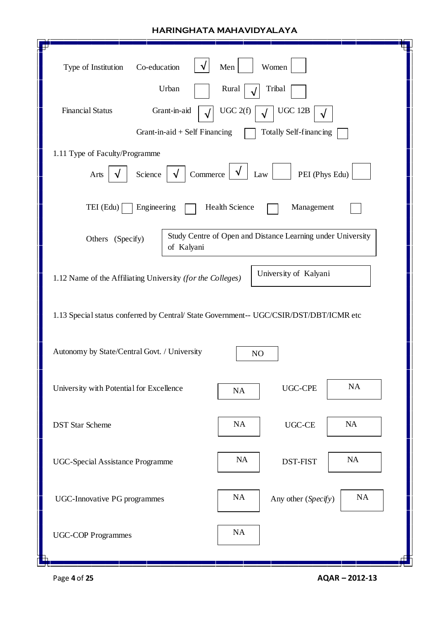| Women<br>Men<br>Type of Institution<br>Co-education                                               |  |  |  |  |
|---------------------------------------------------------------------------------------------------|--|--|--|--|
| Urban<br>Rural<br>Tribal<br><b>Financial Status</b><br>Grant-in-aid<br>UGC 2(f)<br><b>UGC 12B</b> |  |  |  |  |
| Grant-in-aid $+$ Self Financing<br>Totally Self-financing                                         |  |  |  |  |
| 1.11 Type of Faculty/Programme                                                                    |  |  |  |  |
| Commerce<br>PEI (Phys Edu)<br>Science<br>Law<br>Arts                                              |  |  |  |  |
| TEI (Edu)<br>Health Science<br>Engineering<br>Management                                          |  |  |  |  |
| Study Centre of Open and Distance Learning under University<br>Others (Specify)<br>of Kalyani     |  |  |  |  |
| University of Kalyani<br>1.12 Name of the Affiliating University (for the Colleges)               |  |  |  |  |
| 1.13 Special status conferred by Central/ State Government-- UGC/CSIR/DST/DBT/ICMR etc            |  |  |  |  |
| Autonomy by State/Central Govt. / University<br>N <sub>O</sub>                                    |  |  |  |  |
| NA<br><b>UGC-CPE</b><br>University with Potential for Excellence<br>NA                            |  |  |  |  |
| UGC-CE<br>NA<br>NA<br><b>DST Star Scheme</b>                                                      |  |  |  |  |
| <b>NA</b><br>NA<br><b>DST-FIST</b><br><b>UGC-Special Assistance Programme</b>                     |  |  |  |  |
| NA<br>NA<br>Any other (Specify)<br><b>UGC-Innovative PG programmes</b>                            |  |  |  |  |
| NA<br><b>UGC-COP Programmes</b>                                                                   |  |  |  |  |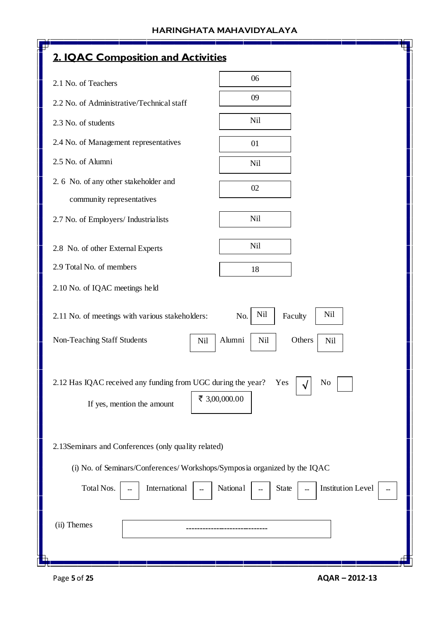| 2. IQAC Composition and Activities                                                                                       |                                       |  |  |  |
|--------------------------------------------------------------------------------------------------------------------------|---------------------------------------|--|--|--|
|                                                                                                                          | 06                                    |  |  |  |
| 2.1 No. of Teachers                                                                                                      | 09                                    |  |  |  |
| 2.2 No. of Administrative/Technical staff                                                                                |                                       |  |  |  |
| 2.3 No. of students                                                                                                      | Nil                                   |  |  |  |
| 2.4 No. of Management representatives                                                                                    | 01                                    |  |  |  |
| 2.5 No. of Alumni                                                                                                        | Nil                                   |  |  |  |
| 2. 6 No. of any other stakeholder and                                                                                    | 02                                    |  |  |  |
| community representatives                                                                                                |                                       |  |  |  |
| 2.7 No. of Employers/ Industrialists                                                                                     | Nil                                   |  |  |  |
| 2.8 No. of other External Experts                                                                                        | <b>Nil</b>                            |  |  |  |
| 2.9 Total No. of members                                                                                                 | 18                                    |  |  |  |
| 2.10 No. of IQAC meetings held                                                                                           |                                       |  |  |  |
| Nil<br>Nil<br>Faculty<br>2.11 No. of meetings with various stakeholders:<br>No.                                          |                                       |  |  |  |
| Non-Teaching Staff Students<br>Nil                                                                                       | Alumni<br>Others<br><b>Nil</b><br>Nil |  |  |  |
| 2.12 Has IQAC received any funding from UGC during the year?<br>Yes<br>No<br>₹ 3,00,000.00<br>If yes, mention the amount |                                       |  |  |  |
| 2.13 Seminars and Conferences (only quality related)                                                                     |                                       |  |  |  |
| (i) No. of Seminars/Conferences/Workshops/Symposia organized by the IQAC                                                 |                                       |  |  |  |
| <b>Institution Level</b><br>Total Nos.<br>International<br>National<br>State                                             |                                       |  |  |  |
| (ii) Themes                                                                                                              |                                       |  |  |  |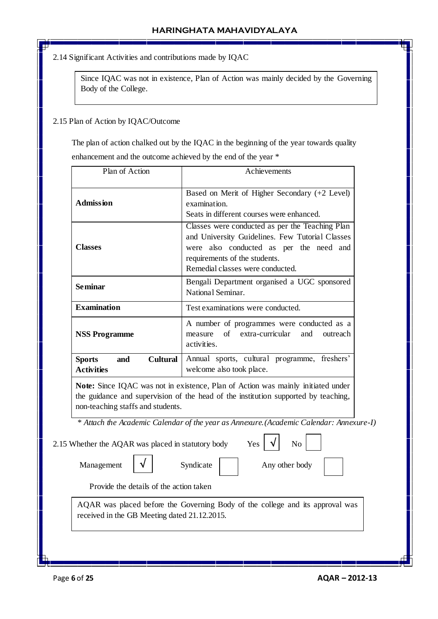2.14 Significant Activities and contributions made by IQAC

Since IQAC was not in existence, Plan of Action was mainly decided by the Governing Body of the College.

## 2.15 Plan of Action by IQAC/Outcome

 The plan of action chalked out by the IQAC in the beginning of the year towards quality enhancement and the outcome achieved by the end of the year \*

|                                                                                                                                           | Achievements                                                                                                                                                                                                       |
|-------------------------------------------------------------------------------------------------------------------------------------------|--------------------------------------------------------------------------------------------------------------------------------------------------------------------------------------------------------------------|
| Based on Merit of Higher Secondary (+2 Level)<br><b>Admission</b><br>examination.<br>Seats in different courses were enhanced.            |                                                                                                                                                                                                                    |
| <b>Classes</b>                                                                                                                            | Classes were conducted as per the Teaching Plan<br>and University Guidelines. Few Tutorial Classes<br>were also conducted as per the need and<br>requirements of the students.<br>Remedial classes were conducted. |
| <b>Seminar</b>                                                                                                                            | Bengali Department organised a UGC sponsored<br>National Seminar.                                                                                                                                                  |
| <b>Examination</b>                                                                                                                        | Test examinations were conducted.                                                                                                                                                                                  |
| A number of programmes were conducted as a<br>of<br>extra-curricular<br>and<br>measure<br><b>NSS Programme</b><br>outreach<br>activities. |                                                                                                                                                                                                                    |
| <b>Cultural</b><br><b>Sports</b><br>and<br><b>Activities</b>                                                                              | Annual sports, cultural programme, freshers'<br>welcome also took place.                                                                                                                                           |
| non-teaching staffs and students.                                                                                                         | Note: Since IQAC was not in existence, Plan of Action was mainly initiated under<br>the guidance and supervision of the head of the institution supported by teaching,                                             |
|                                                                                                                                           | * Attach the Academic Calendar of the year as Annexure. (Academic Calendar: Annexure-I)                                                                                                                            |
| 2.15 Whether the AQAR was placed in statutory body                                                                                        | Yes<br>No                                                                                                                                                                                                          |
| Management                                                                                                                                | Syndicate<br>Any other body                                                                                                                                                                                        |
|                                                                                                                                           |                                                                                                                                                                                                                    |
| Provide the details of the action taken                                                                                                   |                                                                                                                                                                                                                    |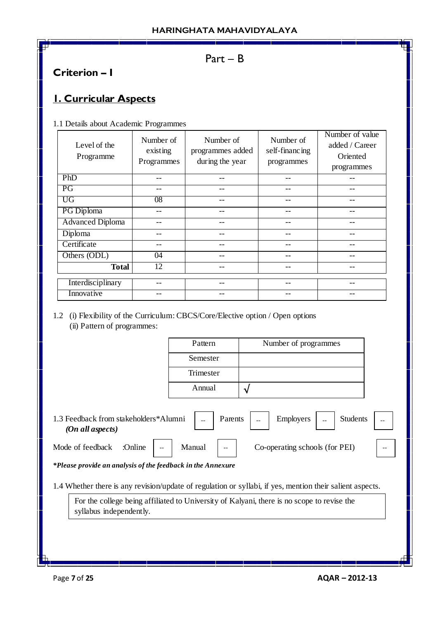# Part – B

# **Criterion – I**

# **1. Curricular Aspects**

1.1 Details about Academic Programmes

| Level of the<br>Programme | Number of<br>existing<br>Programmes | Number of<br>programmes added<br>during the year | Number of<br>self-financing<br>programmes | Number of value<br>added / Career<br>Oriented<br>programmes |
|---------------------------|-------------------------------------|--------------------------------------------------|-------------------------------------------|-------------------------------------------------------------|
| PhD                       |                                     |                                                  |                                           |                                                             |
| PG                        |                                     |                                                  |                                           |                                                             |
| UG                        | 08                                  |                                                  |                                           |                                                             |
| PG Diploma                |                                     |                                                  |                                           |                                                             |
| <b>Advanced Diploma</b>   |                                     | --                                               | --                                        |                                                             |
| Diploma                   |                                     |                                                  |                                           |                                                             |
| Certificate               |                                     |                                                  | --                                        |                                                             |
| Others (ODL)              | 04                                  |                                                  |                                           |                                                             |
| <b>Total</b>              | 12                                  |                                                  |                                           |                                                             |
|                           |                                     |                                                  |                                           |                                                             |
| Interdisciplinary         |                                     |                                                  |                                           |                                                             |
| Innovative                |                                     |                                                  |                                           |                                                             |

## 1.2 (i) Flexibility of the Curriculum: CBCS/Core/Elective option / Open options (ii) Pattern of programmes:

| Pattern   | Number of programmes |
|-----------|----------------------|
| Semester  |                      |
| Trimester |                      |
| Annual    |                      |

1.3 Feedback from stakeholders\*Alumni | - | Parents | - | Employers | - | Students  *(On all aspects)* Employers

Mode of feedback :Online | -- | Manual | -- | Co-operating schools (for PEI) | --

*\*Please provide an analysis of the feedback in the Annexure*

1.4 Whether there is any revision/update of regulation or syllabi, if yes, mention their salient aspects.

For the college being affiliated to University of Kalyani, there is no scope to revise the syllabus independently.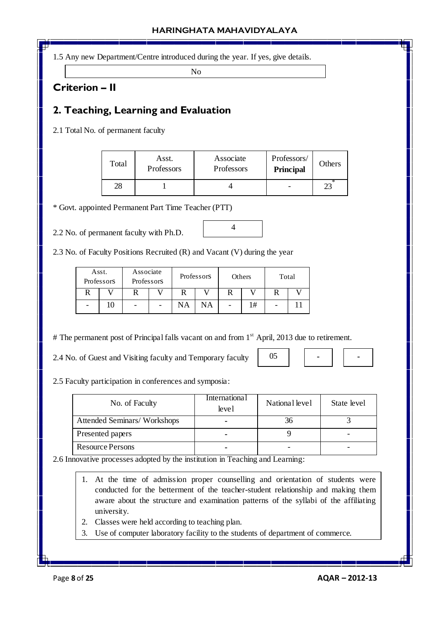1.5 Any new Department/Centre introduced during the year. If yes, give details.

No

## **Criterion – II**

# **2. Teaching, Learning and Evaluation**

2.1 Total No. of permanent faculty

| Total | Asst.<br>Professors | Associate<br>Professors | Professors/<br><b>Principal</b> | <b>Others</b> |
|-------|---------------------|-------------------------|---------------------------------|---------------|
|       |                     |                         |                                 |               |

4

\* Govt. appointed Permanent Part Time Teacher (PTT)

2.2 No. of permanent faculty with Ph.D.

| 2.3 No. of Faculty Positions Recruited (R) and Vacant (V) during the year |  |  |  |
|---------------------------------------------------------------------------|--|--|--|

| Asst.<br>Professors | Associate<br>Professors |    | Professors |   | Others | Total |  |
|---------------------|-------------------------|----|------------|---|--------|-------|--|
|                     |                         |    |            |   |        |       |  |
|                     | -                       | NA | NA         | - | 1#     |       |  |

# The permanent post of Principal falls vacant on and from 1<sup>st</sup> April, 2013 due to retirement.

2.4 No. of Guest and Visiting faculty and Temporary faculty

05

| ۱ | - |
|---|---|
|   |   |

2.5 Faculty participation in conferences and symposia:

| No. of Faculty              | <b>International</b><br>level | National level | State level |
|-----------------------------|-------------------------------|----------------|-------------|
| Attended Seminars/Workshops |                               | 36             |             |
| Presented papers            |                               |                |             |
| <b>Resource Persons</b>     |                               |                |             |

2.6 Innovative processes adopted by the institution in Teaching and Learning:

- 1. At the time of admission proper counselling and orientation of students were conducted for the betterment of the teacher-student relationship and making them aware about the structure and examination patterns of the syllabi of the affiliating university.
- 2. Classes were held according to teaching plan.
- 3. Use of computer laboratory facility to the students of department of commerce.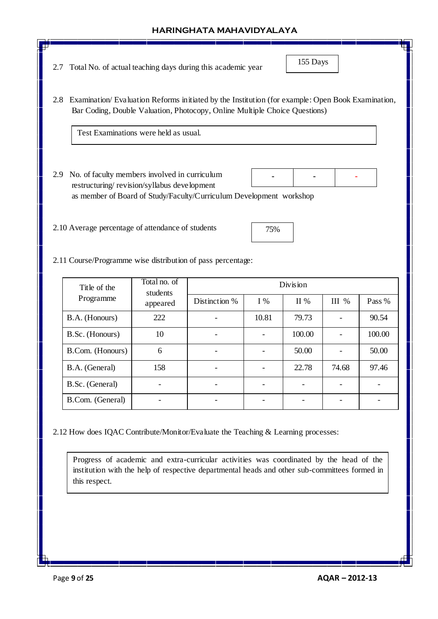155 Days

**-**

2.7 Total No. of actual teaching days during this academic year

2.8 Examination/ Evaluation Reforms initiated by the Institution (for example: Open Book Examination, Bar Coding, Double Valuation, Photocopy, Online Multiple Choice Questions)

Test Examinations were held as usual.

- 2.9 No. of faculty members involved in curriculum restructuring/ revision/syllabus development as member of Board of Study/Faculty/Curriculum Development workshop **- -**
- 2.10 Average percentage of attendance of students

2.11 Course/Programme wise distribution of pass percentage:

| Title of the     | Total no. of<br>students |               |       | Division |       |        |
|------------------|--------------------------|---------------|-------|----------|-------|--------|
| Programme        | appeared                 | Distinction % | $I\%$ | II %     | III % | Pass % |
| B.A. (Honours)   | 222                      |               | 10.81 | 79.73    |       | 90.54  |
| B.Sc. (Honours)  | 10                       |               |       | 100.00   |       | 100.00 |
| B.Com. (Honours) | 6                        |               |       | 50.00    |       | 50.00  |
| B.A. (General)   | 158                      |               |       | 22.78    | 74.68 | 97.46  |
| B.Sc. (General)  |                          |               |       |          |       |        |
| B.Com. (General) |                          |               |       |          |       |        |

75%

2.12 How does IQAC Contribute/Monitor/Evaluate the Teaching & Learning processes:

Progress of academic and extra-curricular activities was coordinated by the head of the institution with the help of respective departmental heads and other sub-committees formed in this respect.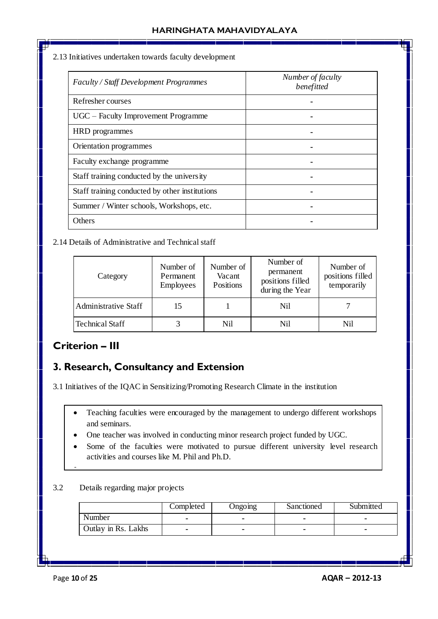### 2.13 Initiatives undertaken towards faculty development

| Faculty / Staff Development Programmes         | Number of faculty<br>benefitted |
|------------------------------------------------|---------------------------------|
| Refresher courses                              |                                 |
| UGC – Faculty Improvement Programme            |                                 |
| HRD programmes                                 |                                 |
| Orientation programmes                         |                                 |
| Faculty exchange programme                     |                                 |
| Staff training conducted by the university     |                                 |
| Staff training conducted by other institutions |                                 |
| Summer / Winter schools, Workshops, etc.       |                                 |
| Others                                         |                                 |

## 2.14 Details of Administrative and Technical staff

| Category                    | Number of<br>Permanent<br>Employees | Number of<br>Vacant<br>Positions | Number of<br>permanent<br>positions filled<br>during the Year | Number of<br>positions filled<br>temporarily |
|-----------------------------|-------------------------------------|----------------------------------|---------------------------------------------------------------|----------------------------------------------|
| <b>Administrative Staff</b> | 15                                  |                                  | Nil                                                           |                                              |
| <b>Technical Staff</b>      |                                     | Nil                              | Nil                                                           | Nil                                          |

# **Criterion – III**

# **3. Research, Consultancy and Extension**

3.1 Initiatives of the IQAC in Sensitizing/Promoting Research Climate in the institution

- Teaching faculties were encouraged by the management to undergo different workshops and seminars.
- One teacher was involved in conducting minor research project funded by UGC.
- Some of the faculties were motivated to pursue different university level research activities and courses like M. Phil and Ph.D.

## 3.2 Details regarding major projects

|                     | Completed | <b>Ongomg</b> | Sanctioned | Submitted |
|---------------------|-----------|---------------|------------|-----------|
| Number              |           | -             |            |           |
| Outlay in Rs. Lakhs |           |               |            |           |

 $\overline{a}$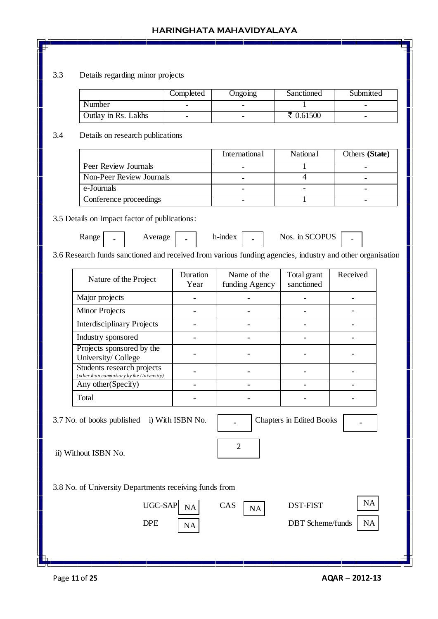## 3.3 Details regarding minor projects

|                     | Completed | Ongoing | Sanctioned  | Submitted |
|---------------------|-----------|---------|-------------|-----------|
| Number              |           |         |             |           |
| Outlay in Rs. Lakhs |           |         | ₹ $0.61500$ |           |

## 3.4 Details on research publications

|                          | International | <b>National</b> | Others (State) |
|--------------------------|---------------|-----------------|----------------|
| Peer Review Journals     |               |                 |                |
| Non-Peer Review Journals |               |                 |                |
| e-Journals               |               |                 |                |
| Conference proceedings   |               |                 |                |

3.5 Details on Impact factor of publications:

| Range | Average | h-mdex | Nos. in SCOPUS |  |
|-------|---------|--------|----------------|--|
|-------|---------|--------|----------------|--|

3.6 Research funds sanctioned and received from various funding agencies, industry and other organisation

| Nature of the Project                                                   | Duration<br>Year | Name of the<br>funding Agency | Total grant<br>sanctioned       | Received |
|-------------------------------------------------------------------------|------------------|-------------------------------|---------------------------------|----------|
| Major projects                                                          |                  |                               |                                 |          |
| <b>Minor Projects</b>                                                   |                  |                               |                                 |          |
| <b>Interdisciplinary Projects</b>                                       |                  |                               |                                 |          |
| Industry sponsored                                                      |                  |                               |                                 |          |
| Projects sponsored by the<br>University/College                         |                  |                               |                                 |          |
| Students research projects<br>(other than compulsory by the University) |                  |                               |                                 |          |
| Any other (Specify)                                                     |                  |                               |                                 |          |
| Total                                                                   |                  |                               |                                 |          |
| 3.7 No. of books published i) With ISBN No.                             |                  |                               | <b>Chapters in Edited Books</b> |          |
| ii) Without ISBN No.                                                    |                  | $\overline{2}$                |                                 |          |

3.8 No. of University Departments receiving funds from



NA

NA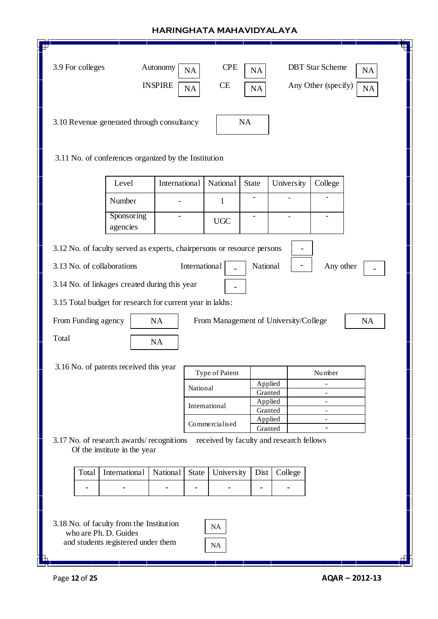| ge.                                                                                                                  |                                    |                      |                 |           |                                       |                        |           |  |  |
|----------------------------------------------------------------------------------------------------------------------|------------------------------------|----------------------|-----------------|-----------|---------------------------------------|------------------------|-----------|--|--|
| 3.9 For colleges                                                                                                     |                                    | Autonomy<br>NA       | <b>CPE</b>      | NA        |                                       | <b>DBT</b> Star Scheme | NA        |  |  |
|                                                                                                                      |                                    | <b>INSPIRE</b><br>NA | CE              | NA        |                                       | Any Other (specify)    | <b>NA</b> |  |  |
|                                                                                                                      |                                    |                      |                 |           |                                       |                        |           |  |  |
| 3.10 Revenue generated through consultancy                                                                           |                                    |                      |                 | <b>NA</b> |                                       |                        |           |  |  |
|                                                                                                                      |                                    |                      |                 |           |                                       |                        |           |  |  |
| 3.11 No. of conferences organized by the Institution                                                                 |                                    |                      |                 |           |                                       |                        |           |  |  |
|                                                                                                                      |                                    |                      |                 |           |                                       |                        |           |  |  |
|                                                                                                                      | Level                              | International        | <b>National</b> | State     | University                            | College                |           |  |  |
|                                                                                                                      | Number<br>Sponsoring               |                      | 1               |           |                                       |                        |           |  |  |
|                                                                                                                      | agencies                           |                      | <b>UGC</b>      |           |                                       |                        |           |  |  |
| 3.12 No. of faculty served as experts, chairpersons or resource persons                                              |                                    |                      |                 |           |                                       |                        |           |  |  |
| 3.13 No. of collaborations                                                                                           |                                    |                      | International   | National  |                                       | Any other              |           |  |  |
| 3.14 No. of linkages created during this year                                                                        |                                    |                      |                 |           |                                       |                        |           |  |  |
| 3.15 Total budget for research for current year in lakhs:                                                            |                                    |                      |                 |           |                                       |                        |           |  |  |
|                                                                                                                      |                                    |                      |                 |           |                                       |                        |           |  |  |
| From Funding agency                                                                                                  |                                    | NA                   |                 |           | From Management of University/College |                        | NA        |  |  |
| Total                                                                                                                |                                    | <b>NA</b>            |                 |           |                                       |                        |           |  |  |
| 3.16 No. of patents received this year                                                                               |                                    |                      |                 |           |                                       |                        |           |  |  |
|                                                                                                                      |                                    |                      | Type of Patent  |           | Applied                               | Number                 |           |  |  |
|                                                                                                                      |                                    | National             |                 |           | Granted                               |                        |           |  |  |
|                                                                                                                      |                                    |                      | International   |           | Applied                               |                        |           |  |  |
|                                                                                                                      |                                    |                      |                 |           | Granted<br>Applied                    |                        |           |  |  |
|                                                                                                                      |                                    |                      | Commercialised  |           | Granted                               |                        |           |  |  |
| received by faculty and research fellows<br>3.17 No. of research awards/recognitions<br>Of the institute in the year |                                    |                      |                 |           |                                       |                        |           |  |  |
|                                                                                                                      |                                    |                      |                 |           |                                       |                        |           |  |  |
| Total                                                                                                                | International                      | National<br>State    | University      | Dist      | College                               |                        |           |  |  |
| ۰<br>$\blacksquare$<br>۰                                                                                             |                                    |                      |                 |           |                                       |                        |           |  |  |
|                                                                                                                      |                                    |                      |                 |           |                                       |                        |           |  |  |
| 3.18 No. of faculty from the Institution                                                                             |                                    |                      | NA              |           |                                       |                        |           |  |  |
| who are Ph. D. Guides                                                                                                |                                    |                      |                 |           |                                       |                        |           |  |  |
|                                                                                                                      | and students registered under them |                      | NA              |           |                                       |                        |           |  |  |
| ⊐                                                                                                                    |                                    |                      |                 |           |                                       |                        |           |  |  |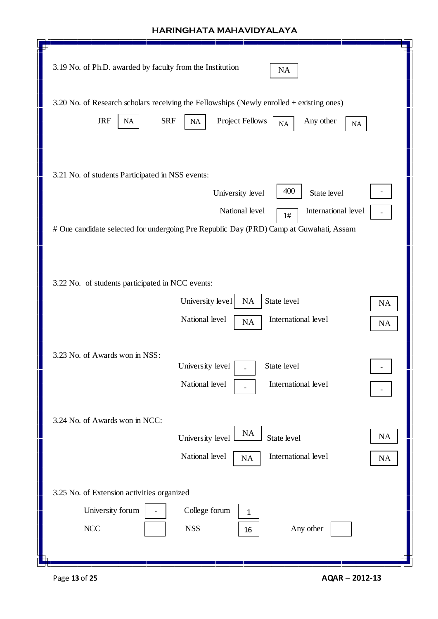| 3.19 No. of Ph.D. awarded by faculty from the Institution<br>NA                                                                                                                    |
|------------------------------------------------------------------------------------------------------------------------------------------------------------------------------------|
| 3.20 No. of Research scholars receiving the Fellowships (Newly enrolled + existing ones)<br><b>JRF</b><br><b>SRF</b><br>Project Fellows<br>Any other<br>$\rm NA$<br>NA<br>NA<br>NA |
| 3.21 No. of students Participated in NSS events:<br>400<br>State level<br>University level<br>National level<br>International level<br>1#                                          |
| # One candidate selected for undergoing Pre Republic Day (PRD) Camp at Guwahati, Assam                                                                                             |
| 3.22 No. of students participated in NCC events:<br>University level<br>NA<br>State level<br><b>NA</b><br>International level<br>National level<br><b>NA</b><br><b>NA</b>          |
| 3.23 No. of Awards won in NSS:<br>University level<br>State level<br>National level<br>International level                                                                         |
| 3.24 No. of Awards won in NCC:<br><b>NA</b><br><b>NA</b><br>University level<br>State level<br>National level<br>International level<br>NA<br><b>NA</b>                            |
| 3.25 No. of Extension activities organized<br>University forum<br>College forum<br>$\mathbf{1}$<br>NCC<br><b>NSS</b><br>Any other<br>16                                            |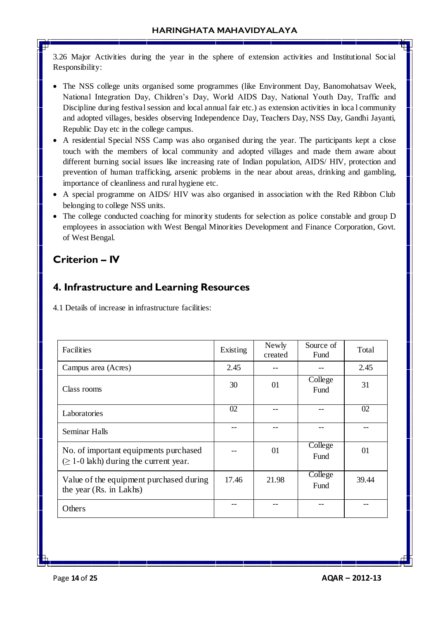3.26 Major Activities during the year in the sphere of extension activities and Institutional Social Responsibility:

- The NSS college units organised some programmes (like Environment Day, Banomohatsav Week, National Integration Day, Children's Day, World AIDS Day, National Youth Day, Traffic and Discipline during festival session and local annual fair etc.) as extension activities in loca l community and adopted villages, besides observing Independence Day, Teachers Day, NSS Day, Gandhi Jayanti, Republic Day etc in the college campus.
- A residential Special NSS Camp was also organised during the year. The participants kept a close touch with the members of local community and adopted villages and made them aware about different burning social issues like increasing rate of Indian population, AIDS/ HIV, protection and prevention of human trafficking, arsenic problems in the near about areas, drinking and gambling, importance of cleanliness and rural hygiene etc.
- A special programme on AIDS/ HIV was also organised in association with the Red Ribbon Club belonging to college NSS units.
- The college conducted coaching for minority students for selection as police constable and group D employees in association with West Bengal Minorities Development and Finance Corporation, Govt. of West Bengal.

# **Criterion – IV**

## **4. Infrastructure and Learning Resources**

4.1 Details of increase in infrastructure facilities:

| Facilities                                                                           | Existing | Newly<br>created | Source of<br>Fund | Total |
|--------------------------------------------------------------------------------------|----------|------------------|-------------------|-------|
| Campus area (Acres)                                                                  | 2.45     |                  |                   | 2.45  |
| Class rooms                                                                          | 30       | 01               | College<br>Fund   | 31    |
| Laboratories                                                                         | 02       |                  |                   | 02    |
| Seminar Halls                                                                        |          |                  |                   |       |
| No. of important equipments purchased<br>$(\geq 1$ -0 lakh) during the current year. |          | 01               | College<br>Fund   | 01    |
| Value of the equipment purchased during<br>the year (Rs. in Lakhs)                   | 17.46    | 21.98            | College<br>Fund   | 39.44 |
| Others                                                                               |          |                  |                   |       |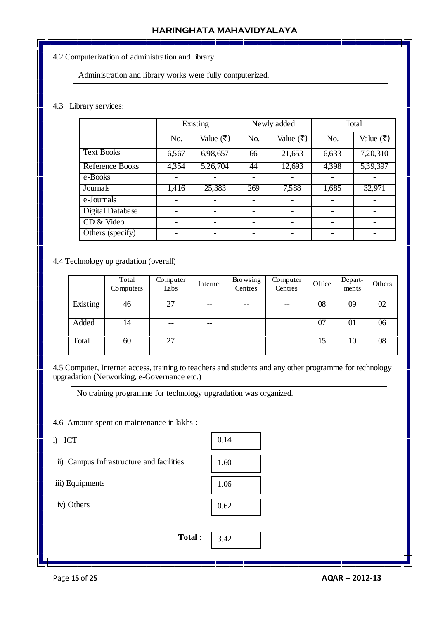## 4.2 Computerization of administration and library

Administration and library works were fully computerized.

## 4.3 Library services:

|                             | Existing |                           |     | Newly added              | Total |           |
|-----------------------------|----------|---------------------------|-----|--------------------------|-------|-----------|
|                             | No.      | Value $(\overline{\tau})$ | No. | Value (₹)                | No.   | Value (₹) |
| <b>Text Books</b>           | 6,567    | 6,98,657                  | 66  | 21,653                   | 6,633 | 7,20,310  |
| Reference Books             | 4,354    | 5,26,704                  | 44  | 12,693                   | 4,398 | 5,39,397  |
| $\overline{e\text{-}$ Books |          |                           |     |                          |       |           |
| Journals                    | 1,416    | 25,383                    | 269 | 7,588                    | 1,685 | 32,971    |
| e-Journals                  |          |                           |     |                          |       |           |
| Digital Database            |          |                           |     | $\overline{\phantom{0}}$ |       |           |
| CD & Video                  |          |                           |     | $\overline{\phantom{a}}$ |       |           |
| Others (specify)            |          |                           |     |                          |       |           |

4.4 Technology up gradation (overall)

|          | Total<br>Computers | Computer<br>Labs | Internet | <b>Browsing</b><br>Centres | Computer<br>Centres | Office | Depart-<br>ments | Others |
|----------|--------------------|------------------|----------|----------------------------|---------------------|--------|------------------|--------|
| Existing | 46                 | 27               | --       | $- -$                      | $- -$               | 08     | 09               | 02     |
| Added    | 14                 | --               | --       |                            |                     | 07     | 01               | 06     |
| Total    | 60                 | 27               |          |                            |                     | 15     | 10               | 08     |

4.5 Computer, Internet access, training to teachers and students and any other programme for technology upgradation (Networking, e-Governance etc.)

No training programme for technology upgradation was organized.

4.6 Amount spent on maintenance in lakhs :

i) ICT

ii) Campus Infrastructure and facilities

iii) Equipments

iv) Others

| 0.14 |  |
|------|--|
| 1.60 |  |
| 1.06 |  |
| 0.62 |  |
|      |  |

3.42

**Total :**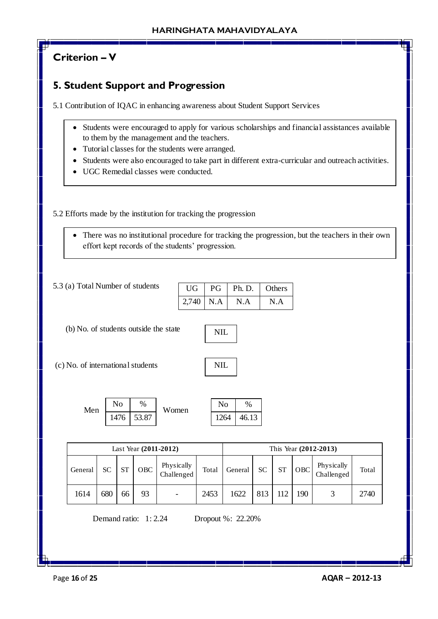# **Criterion – V**

# **5. Student Support and Progression**

5.1 Contribution of IQAC in enhancing awareness about Student Support Services

- Students were encouraged to apply for various scholarships and financial assistances available to them by the management and the teachers.
- Tutorial classes for the students were arranged.
- Students were also encouraged to take part in different extra-curricular and outreach activities.
- UGC Remedial classes were conducted.

5.2 Efforts made by the institution for tracking the progression

 There was no institutional procedure for tracking the progression, but the teachers in their own effort kept records of the students' progression.

| 5.3 (a) Total Number of students |  | $\mid$ UG $\mid$ PG $\mid$ Ph. D. $\mid$ Others |  |
|----------------------------------|--|-------------------------------------------------|--|
|                                  |  | $\vert$ 2,740   N.A   N.A   N.A                 |  |

(b) No. of students outside the state

| H<br>J<br>Ι. |
|--------------|
|              |

(c) No. of international students

| Men | No   | %     | Women | N <sub>o</sub> | $\%$  |
|-----|------|-------|-------|----------------|-------|
|     | 1476 | 53.87 |       | 1264           | 46.13 |

| Last Year (2011-2012) |           |           |            |                          |       |         |           |           | This Year (2012-2013) |                          |       |
|-----------------------|-----------|-----------|------------|--------------------------|-------|---------|-----------|-----------|-----------------------|--------------------------|-------|
| General               | <b>SC</b> | <b>ST</b> | <b>OBC</b> | Physically<br>Challenged | Total | General | <b>SC</b> | <b>ST</b> | <b>OBC</b>            | Physically<br>Challenged | Total |
| 1614                  | 680       | 66        | 93         |                          | 2453  | 1622    | 813       |           | 190                   |                          | 2740  |

Demand ratio: 1: 2.24 Dropout %: 22.20%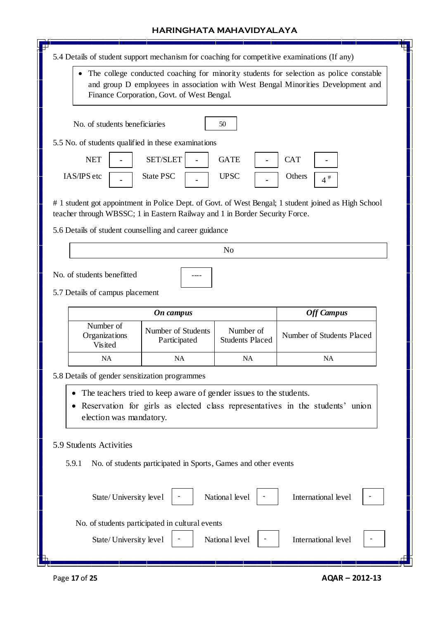5.4 Details of student support mechanism for coaching for competitive examinations (If any)

• The college conducted coaching for minority students for selection as police constable and group D employees in association with West Bengal Minorities Development and Finance Corporation, Govt. of West Bengal.

 No. of students beneficiaries 5.5 No. of students qualified in these examinations NET SET/SLET GATE CAT IAS/IPS etc State PSC UPSC UPSC Others 50 **- - - - - - -** 4 #

# 1 student got appointment in Police Dept. of Govt. of West Bengal; 1 student joined as High School teacher through WBSSC; 1 in Eastern Railway and 1 in Border Security Force.

No

5.6 Details of student counselling and career guidance

No. of students benefitted

----

5.7 Details of campus placement

|                                       | <b>Off Campus</b>                  |                                     |                           |
|---------------------------------------|------------------------------------|-------------------------------------|---------------------------|
| Number of<br>Organizations<br>Visited | Number of Students<br>Participated | Number of<br><b>Students Placed</b> | Number of Students Placed |
| NA                                    | NA                                 | NA                                  | NA                        |

5.8 Details of gender sensitization programmes

The teachers tried to keep aware of gender issues to the students.

• Reservation for girls as elected class representatives in the students' union election was mandatory.

## 5.9 Students Activities

5.9.1 No. of students participated in Sports, Games and other events

| State/University level <sup>1</sup>                                       | $\overline{\phantom{a}}$      | National level | International level |  |
|---------------------------------------------------------------------------|-------------------------------|----------------|---------------------|--|
| No. of students participated in cultural events<br>State/University level | $\frac{1}{2}$ , $\frac{1}{2}$ | National level | International level |  |
|                                                                           |                               |                |                     |  |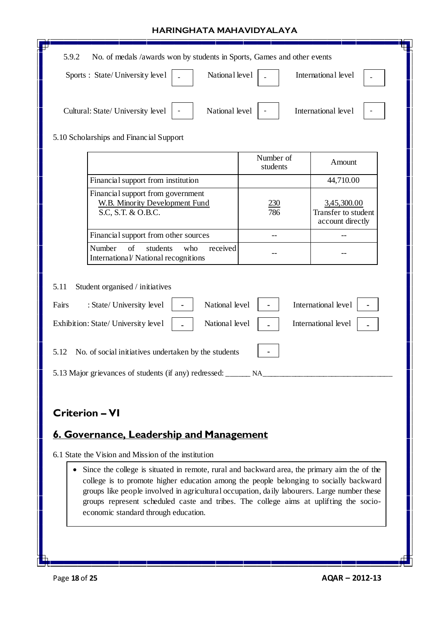| Cultural: State/ University level<br>5.10 Scholarships and Financial Support                                                                                                                                                                                                                                                                                                                                           | National level |                       | International level                                    |
|------------------------------------------------------------------------------------------------------------------------------------------------------------------------------------------------------------------------------------------------------------------------------------------------------------------------------------------------------------------------------------------------------------------------|----------------|-----------------------|--------------------------------------------------------|
|                                                                                                                                                                                                                                                                                                                                                                                                                        |                |                       |                                                        |
|                                                                                                                                                                                                                                                                                                                                                                                                                        |                |                       |                                                        |
|                                                                                                                                                                                                                                                                                                                                                                                                                        |                | Number of<br>students | Amount                                                 |
| Financial support from institution                                                                                                                                                                                                                                                                                                                                                                                     |                |                       | 44,710.00                                              |
| Financial support from government<br><b>W.B. Minority Development Fund</b><br>S.C, S.T. & O.B.C.                                                                                                                                                                                                                                                                                                                       |                | <u>230</u><br>786     | 3,45,300.00<br>Transfer to student<br>account directly |
| Financial support from other sources                                                                                                                                                                                                                                                                                                                                                                                   |                | $- -$                 | --                                                     |
| Number<br>of<br>students<br>who<br>International/ National recognitions                                                                                                                                                                                                                                                                                                                                                | received       |                       |                                                        |
| 5.12<br>No. of social initiatives undertaken by the students<br>5.13 Major grievances of students (if any) redressed: _______ NA<br><b>Criterion - VI</b>                                                                                                                                                                                                                                                              |                | ۰                     |                                                        |
| 6. Governance, Leadership and Management                                                                                                                                                                                                                                                                                                                                                                               |                |                       |                                                        |
|                                                                                                                                                                                                                                                                                                                                                                                                                        |                |                       |                                                        |
| 6.1 State the Vision and Mission of the institution                                                                                                                                                                                                                                                                                                                                                                    |                |                       |                                                        |
| Since the college is situated in remote, rural and backward area, the primary aim the of the<br>college is to promote higher education among the people belonging to socially backward<br>groups like people involved in agricultural occupation, daily labourers. Large number these<br>groups represent scheduled caste and tribes. The college aims at uplifting the socio-<br>economic standard through education. |                |                       |                                                        |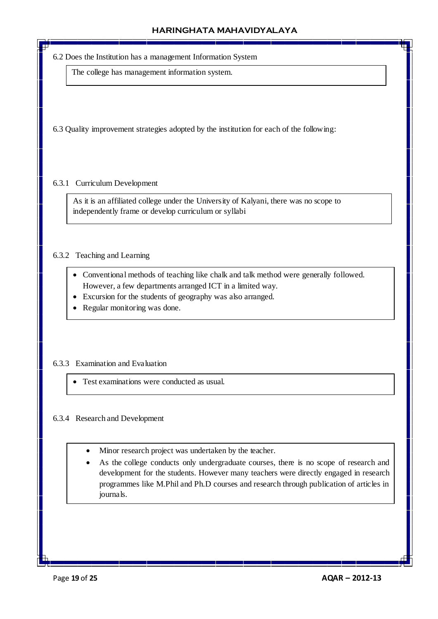6.2 Does the Institution has a management Information System

The college has management information system.

6.3 Quality improvement strategies adopted by the institution for each of the following:

#### 6.3.1 Curriculum Development

As it is an affiliated college under the University of Kalyani, there was no scope to independently frame or develop curriculum or syllabi

## 6.3.2 Teaching and Learning

- Conventional methods of teaching like chalk and talk method were generally followed. However, a few departments arranged ICT in a limited way.
- Excursion for the students of geography was also arranged.
- Regular monitoring was done.

#### 6.3.3 Examination and Evaluation

Test examinations were conducted as usual.

#### 6.3.4 Research and Development

- Minor research project was undertaken by the teacher.
- As the college conducts only undergraduate courses, there is no scope of research and development for the students. However many teachers were directly engaged in research programmes like M.Phil and Ph.D courses and research through publication of articles in journals.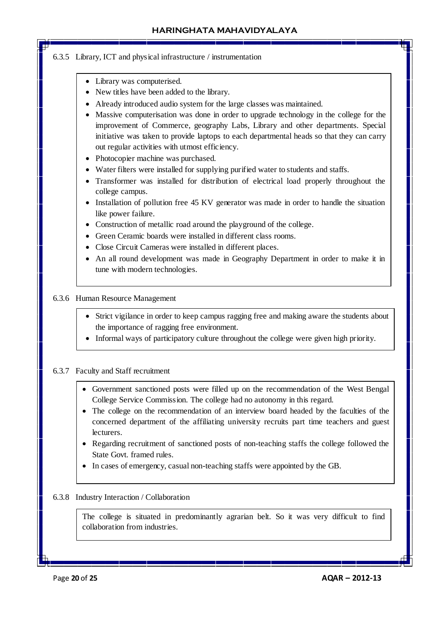#### 6.3.5 Library, ICT and physical infrastructure / instrumentation

- Library was computerised.
- New titles have been added to the library.
- Already introduced audio system for the large classes was maintained.
- Massive computerisation was done in order to upgrade technology in the college for the improvement of Commerce, geography Labs, Library and other departments. Special initiative was taken to provide laptops to each departmental heads so that they can carry out regular activities with utmost efficiency.
- Photocopier machine was purchased.
- Water filters were installed for supplying purified water to students and staffs.
- Transformer was installed for distribution of electrical load properly throughout the college campus.
- Installation of pollution free 45 KV generator was made in order to handle the situation like power failure.
- Construction of metallic road around the playground of the college.
- Green Ceramic boards were installed in different class rooms.
- Close Circuit Cameras were installed in different places.
- An all round development was made in Geography Department in order to make it in tune with modern technologies.

#### 6.3.6 Human Resource Management

- Strict vigilance in order to keep campus ragging free and making aware the students about the importance of ragging free environment.
- Informal ways of participatory culture throughout the college were given high priority.

#### 6.3.7 Faculty and Staff recruitment

- Government sanctioned posts were filled up on the recommendation of the West Bengal College Service Commission. The college had no autonomy in this regard.
- The college on the recommendation of an interview board headed by the faculties of the concerned department of the affiliating university recruits part time teachers and guest lecturers.
- Regarding recruitment of sanctioned posts of non-teaching staffs the college followed the State Govt. framed rules.
- In cases of emergency, casual non-teaching staffs were appointed by the GB.

#### 6.3.8 Industry Interaction / Collaboration

The college is situated in predominantly agrarian belt. So it was very difficult to find collaboration from industries.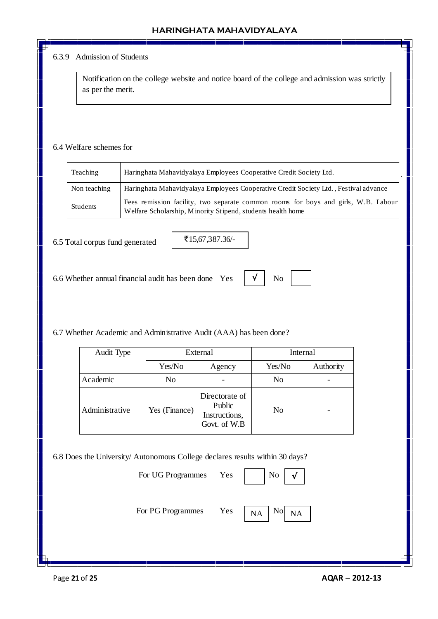## 6.3.9 Admission of Students

Notification on the college website and notice board of the college and admission was strictly as per the merit.

## 6.4 Welfare schemes for

| Teaching     | Haringhata Mahavidyalaya Employees Cooperative Credit Society Ltd.                                                                                |
|--------------|---------------------------------------------------------------------------------------------------------------------------------------------------|
| Non teaching | Haringhata Mahavidyalaya Employees Cooperative Credit Society Ltd., Festival advance                                                              |
| Students     | Fees remission facility, two separate common rooms for boys and girls, W.B. Labour<br>Welfare Scholarship, Minority Stipend, students health home |

√

6.5 Total corpus fund generated

`15,67,387.36/-

6.6 Whether annual financial audit has been done Yes  $\forall$  No

6.7 Whether Academic and Administrative Audit (AAA) has been done?

| Audit Type     |               | External                                                  | Internal       |           |
|----------------|---------------|-----------------------------------------------------------|----------------|-----------|
|                | Yes/No        | Agency                                                    | Yes/No         | Authority |
| Academic       | No            |                                                           | No             |           |
| Administrative | Yes (Finance) | Directorate of<br>Public<br>Instructions,<br>Govt. of W.B | N <sub>0</sub> |           |

6.8 Does the University/ Autonomous College declares results within 30 days?

For UG Programmes Yes | No



For PG Programmes Yes  $N_A$  No

 $NA$   $N^0$   $NA$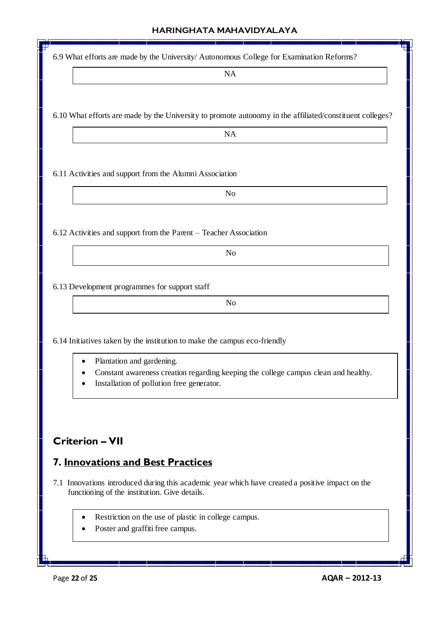6.9 What efforts are made by the University/ Autonomous College for Examination Reforms?

NA

<u> Tanzania (Tanzania) (Tanzania) (Tanzania) (Tanzania) (Tanzania) (Tanzania) (Tanzania) (Tanzania) (Tanzania) (</u>

6.10 What efforts are made by the University to promote autonomy in the affiliated/constituent colleges?

NA

6.11 Activities and support from the Alumni Association

No

6.12 Activities and support from the Parent – Teacher Association

No

No

6.13 Development programmes for support staff

6.14 Initiatives taken by the institution to make the campus eco-friendly

- Plantation and gardening.
- Constant awareness creation regarding keeping the college campus clean and healthy.
- Installation of pollution free generator.

# **Criterion – VII**

## **7. Innovations and Best Practices**

- 7.1 Innovations introduced during this academic year which have created a positive impact on the functioning of the institution. Give details.
	- Restriction on the use of plastic in college campus.
	- Poster and graffiti free campus.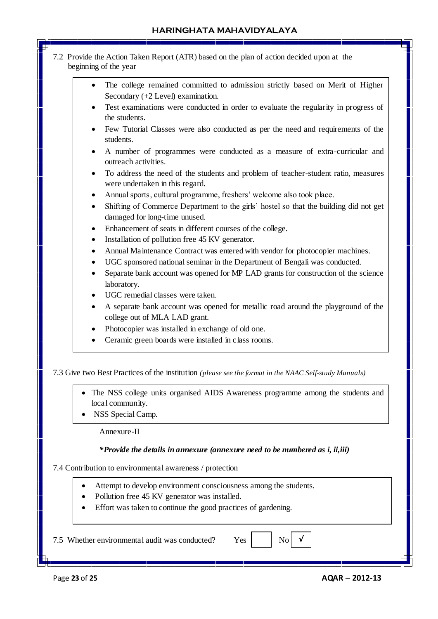| 7.2 Provide the Action Taken Report (ATR) based on the plan of action decided upon at the<br>beginning of the year                                                                                           |
|--------------------------------------------------------------------------------------------------------------------------------------------------------------------------------------------------------------|
| The college remained committed to admission strictly based on Merit of Higher<br>٠<br>Secondary (+2 Level) examination.                                                                                      |
| Test examinations were conducted in order to evaluate the regularity in progress of<br>the students.                                                                                                         |
| Few Tutorial Classes were also conducted as per the need and requirements of the<br>students.                                                                                                                |
| A number of programmes were conducted as a measure of extra-curricular and<br>٠<br>outreach activities.                                                                                                      |
| To address the need of the students and problem of teacher-student ratio, measures<br>٠<br>were undertaken in this regard.                                                                                   |
| Annual sports, cultural programme, freshers' welcome also took place.<br>٠                                                                                                                                   |
| Shifting of Commerce Department to the girls' hostel so that the building did not get<br>$\bullet$<br>damaged for long-time unused.                                                                          |
| Enhancement of seats in different courses of the college.<br>$\bullet$                                                                                                                                       |
| Installation of pollution free 45 KV generator.<br>$\bullet$                                                                                                                                                 |
| Annual Maintenance Contract was entered with vendor for photocopier machines.                                                                                                                                |
| UGC sponsored national seminar in the Department of Bengali was conducted.<br>Separate bank account was opened for MP LAD grants for construction of the science<br>laboratory.                              |
| UGC remedial classes were taken.<br>$\bullet$                                                                                                                                                                |
| A separate bank account was opened for metallic road around the playground of the<br>$\bullet$<br>college out of MLA LAD grant.                                                                              |
| Photocopier was installed in exchange of old one.                                                                                                                                                            |
| Ceramic green boards were installed in class rooms.                                                                                                                                                          |
| 7.3 Give two Best Practices of the institution (please see the format in the NAAC Self-study Manuals)<br>The NSS college units organised AIDS Awareness programme among the students and<br>local community. |
| NSS Special Camp.                                                                                                                                                                                            |
| Annexure-II                                                                                                                                                                                                  |
| *Provide the details in annexure (annexure need to be numbered as i, ii, iii)                                                                                                                                |
| 7.4 Contribution to environmental awareness / protection                                                                                                                                                     |
| Attempt to develop environment consciousness among the students.                                                                                                                                             |
| Pollution free 45 KV generator was installed.                                                                                                                                                                |
| Effort was taken to continue the good practices of gardening.                                                                                                                                                |

7.5 Whether environmental audit was conducted? Yes

 $No$   $\sqrt{ }$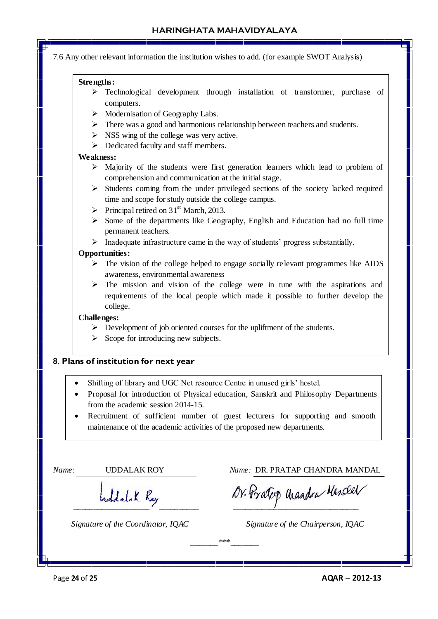7.6 Any other relevant information the institution wishes to add. (for example SWOT Analysis)

### **Strengths:**

- Technological development through installation of transformer, purchase of computers.
- $\triangleright$  Modernisation of Geography Labs.
- $\triangleright$  There was a good and harmonious relationship between teachers and students.
- $\triangleright$  NSS wing of the college was very active.
- Dedicated faculty and staff members.

#### **Weakness:**

- $\triangleright$  Majority of the students were first generation learners which lead to problem of comprehension and communication at the initial stage.
- $\triangleright$  Students coming from the under privileged sections of the society lacked required time and scope for study outside the college campus.
- $\triangleright$  Principal retired on 31<sup>st</sup> March, 2013.
- $\triangleright$  Some of the departments like Geography, English and Education had no full time permanent teachers.
- $\triangleright$  Inadequate infrastructure came in the way of students' progress substantially.

## **Opportunities:**

- $\triangleright$  The vision of the college helped to engage socially relevant programmes like AIDS awareness, environmental awareness
- $\triangleright$  The mission and vision of the college were in tune with the aspirations and requirements of the local people which made it possible to further develop the college.

#### **Challenges:**

- $\triangleright$  Development of job oriented courses for the upliftment of the students.
- $\triangleright$  Scope for introducing new subjects.

## 8. **Plans of institution for next year**

- Shifting of library and UGC Net resource Centre in unused girls' hostel.
- Proposal for introduction of Physical education, Sanskrit and Philosophy Departments from the academic session 2014-15.
- Recruitment of sufficient number of guest lecturers for supporting and smooth maintenance of the academic activities of the proposed new departments.

*Name:* UDDALAK ROY *Name:* DR. PRATAP CHANDRA MANDAL

 $hdd$ dk Ray QV. Pratop arandra Maxdel

*Signature of the Coordinator, IQAC* Signature of the Chairperson, IQAC

*\_\_\_\_\_\_\_\*\*\*\_\_\_\_\_\_\_*

Page **24** of **25 AQAR – 2012-13**